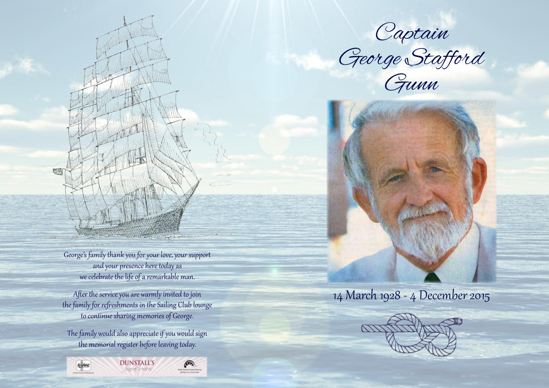



14 March 1928 - 4 December 2015



George's family thank you for your love, your support and your presence here today as we celebrate the life of a remarkable man.

After the service you are warmly invited to join the family for refreshments in the Sailing Club lounge to continue sharing memories of George.

The family would also appreciate if you would sign the memorial register before leaving today.

FOAND